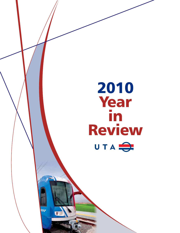# 2010 **Year** in ReviewUTA<sup>O</sup>

 $\overline{w}$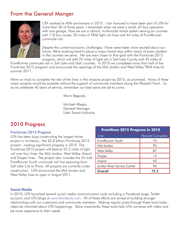## From the General Manger



UTA marked its 40th anniversary in 2010. I am honored to have been part of UTA for more than 30 of those years. I remember when we were a small, 67-bus operation with one garage. Now we are a vibrant, multimodal transit system serving six counties with 118 bus routes, 20 miles of TRAX light rail lines and 44 miles of FrontRunner commuter rail.

Despite the current economic challenges, I have never been more excited about our future. We're working hard to place a major transit stop within reach of every resident in the counties we serve. We are even closer to that goal with the FrontLines 2015 program, which will add 25 miles of light rail in Salt Lake County and 45 miles of

FrontRunner commuter rail in Salt Lake and Utah counties. In 2010 we completed more than half of the FrontLines 2015 program and announced the openings of the Mid-Jordan and West Valley TRAX lines for summer 2011.

We're on track to complete the rest of the lines in this massive project by 2015, as promised. None of these major projects would be possible without the support of community members along the Wasatch Front. So as we celebrate 40 years of service, remember our best years are yet to come.

Warm Regards,

Michael Allegra General Manager Utah Transit Authority

## 2010 Progress

#### FrontLines 2015 Progress

UTA has been busy constructing the largest transit project in its history—the \$2.8 billion FrontLines 2015 project—making significant progress in 2010. The FrontLines 2015 project will feature 25.2 miles of light rail over four lines: the Mid-Jordan, West Valley, Airport and Draper lines. The project also includes the 45-mile FrontRunner South commuter rail line spanning from Salt Lake City to Provo. All projects are currently under construction. UTA announced the Mid-Jordan and West Valley lines to open in August 2011.

| <b>Frontlines 2015 Progress in 2010</b> |                  |
|-----------------------------------------|------------------|
| Line                                    | Percent Complete |
| FrontRunner South                       | 74               |
| Mid-Jordan                              | 95               |
| <b>West Valley</b>                      | 87               |
| Draper                                  | 14               |
| Airport                                 | 43               |
| Jordan River Service Center             | 96               |
| Overall                                 | 72.2             |

#### Social Media

account, and UTA blogs at www.letsrideuta.com. All of these efforts are aimed at building stronger In 2010, UTA launched several social media communication tools including a Facebook page, Twitter relationships with our customers and community members. Making regular posts through these tools helps riders be informed about UTA happenings. More importantly, these tools help UTA converse with riders and be more responsive to their needs.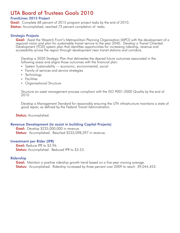## UTA Board of Trustees Goals 2010

## FrontLines 2015 Project

**Goal:** Complete 68 percent of 2015 program project tasks by the end of 2010. Status: Accomplished, reached 72 percent completion of tasks.

#### Strategic Projects

**Goal:** Assist the Wasatch Front's Metropolitain Planning Organization (MPO) with the development of a regional vision and plan for sustainable transit service to the year 2040. Develop a Transit Oriented Development (TOD) system plan that identifies opportunities for increasing ridership, revenue and accessibility across the region through development near transit stations and corridors.

Develop a 2020 Strategic Plan that delineates the desired future outcomes associated in the following areas and aligns those outcomes with the financial plan: -

- System Sustainability economic, environmental, social
- Family of services and service strategies
- Technology
- Facilities
- Organizational Structure

Structure an asset management process compliant with the ISO 9001:2000 Quality by the end of 2010

Develop a Management Standard for reasonably ensuring the UTA infrastructure maintains a state of good repair, as defined by the Federal Transit Administration.

**Status:** Accomplished.

#### Revenue Development (to assist in building Capital Projects)

Goal: Develop \$225,000,000 in revenue. Status: Accomplished. Reached \$233,098,397 in revenue.

#### Investment per Rider (IPR)

Goal: Reduce IPR to \$3.96. **Status:** Accomplished. Reduced IPR to \$3.53.

#### Ridership

**Goal:** Maintain a positive ridership growth trend based on a five-year moving average. Status: Accomplished. Ridership increased by three percent over 2009 to reach 39,044,453.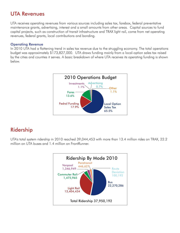## UTA Revenues

UTA receives operating revenues from various sources including sales tax, farebox, federal preventative maintenance grants, advertising, interest and a small amounts from other areas. Capital sources to fund capital projects, such as construction of transit infrastructure and TRAX light rail, come from net operating revenues, federal grants, local contributions and bonding.

## Operating Revenue

In 2010 UTA had a flattening trend in sales tax revenue due to the struggling economy. The total operations budget was approximately \$173,827,000. UTA draws funding mainly from a local-option sales tax raised by the cities and counties it serves. A basic breakdown of where UTA receives its operating funding is shown below.



## Ridership

UTA's total system ridership in 2010 reached 39,044,453 with more than 13.4 million rides on TRAX, 22.2 million on UTA buses and 1.4 million on FrontRunner.

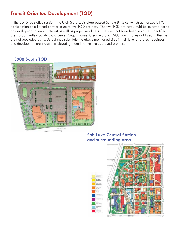## Transit Oriented Development (TOD)

In the 2010 legislative session, the Utah State Legislature passed Senate Bill 272, which authorized UTA's participation as a limited partner in up to five TOD projects. The five TOD projects would be selected based on developer and tenant interest as well as project readiness. The sites that have been tentatively identified are: Jordan Valley, Sandy Civic Center, Sugar House, Clearfield and 3900 South. Sites not listed in the five are not precluded as TODs but may substitute the above mentioned sites if their level of project readiness and developer interest warrants elevating them into the five approved projects.

## 3900 South TOD



## Salt Lake Central Station and surrounding area

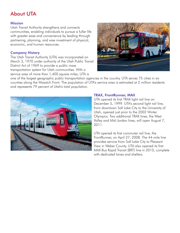# About UTA

## **Mission**

Utah Transit Authority strengthens and connects communities, enabling individuals to pursue a fuller life with greater ease and convenience by leading through partnering, planning, and wise investment of physical, economic, and human resources.

## Company History

The Utah Transit Authority (UTA) was incorporated on March 3, 1970 under authority of the Utah Public Transit District Act of 1969 to provide a public mass transportation system for Utah communities. With a service area of more than 1,400 square miles, UTA is



one of the largest geographic public transportation agencies in the country. UTA serves 75 cities in six counties along the Wasatch Front. The population of UTA's service area is estimated at 2 million residents and represents 79 percent of Utah's total population.



#### TRAX, FrontRunner, MAX

UTA opened its first TRAX light rail line on December 5, 1999. UTA's second light rail line, from downtown Salt Lake City to the University of Utah, opened just prior to the 2002 Winter Olympics. Two additional TRAX lines, the West Valley and Mid-Jordan lines, will open August 7, 2011.

UTA opened its first commuter rail line, the FrontRunner, on April 27, 2008. The 44-mile line provides service from Salt Lake City to Pleasant View in Weber County. UTA also opened its first MAX Bus Rapid Transit (BRT) line in 2010, complete with dedicated lanes and shelters.